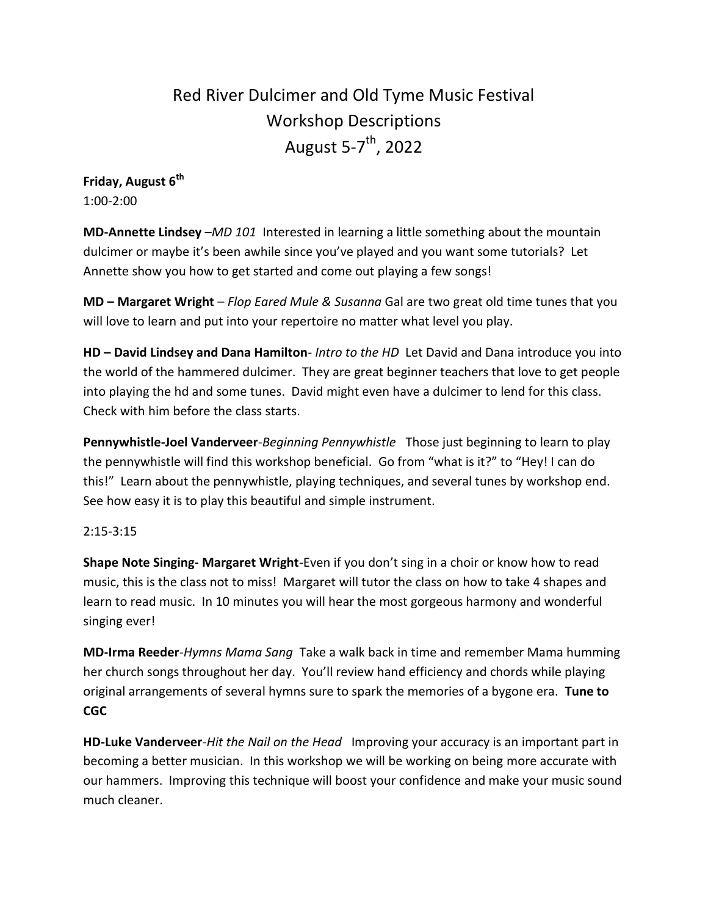# Red River Dulcimer and Old Tyme Music Festival Workshop Descriptions August 5-7<sup>th</sup>, 2022

# **Friday, August 6th** 1:00-2:00

**MD-Annette Lindsey** –*MD 101* Interested in learning a little something about the mountain dulcimer or maybe it's been awhile since you've played and you want some tutorials? Let Annette show you how to get started and come out playing a few songs!

**MD – Margaret Wright** – *Flop Eared Mule & Susanna* Gal are two great old time tunes that you will love to learn and put into your repertoire no matter what level you play.

**HD – David Lindsey and Dana Hamilton**- *Intro to the HD* Let David and Dana introduce you into the world of the hammered dulcimer. They are great beginner teachers that love to get people into playing the hd and some tunes. David might even have a dulcimer to lend for this class. Check with him before the class starts.

**Pennywhistle-Joel Vanderveer**-*Beginning Pennywhistle* Those just beginning to learn to play the pennywhistle will find this workshop beneficial. Go from "what is it?" to "Hey! I can do this!" Learn about the pennywhistle, playing techniques, and several tunes by workshop end. See how easy it is to play this beautiful and simple instrument.

## 2:15-3:15

**Shape Note Singing- Margaret Wright**-Even if you don't sing in a choir or know how to read music, this is the class not to miss! Margaret will tutor the class on how to take 4 shapes and learn to read music. In 10 minutes you will hear the most gorgeous harmony and wonderful singing ever!

**MD-Irma Reeder**-*Hymns Mama Sang* Take a walk back in time and remember Mama humming her church songs throughout her day. You'll review hand efficiency and chords while playing original arrangements of several hymns sure to spark the memories of a bygone era. **Tune to CGC**

**HD-Luke Vanderveer**-*Hit the Nail on the Head* Improving your accuracy is an important part in becoming a better musician. In this workshop we will be working on being more accurate with our hammers. Improving this technique will boost your confidence and make your music sound much cleaner.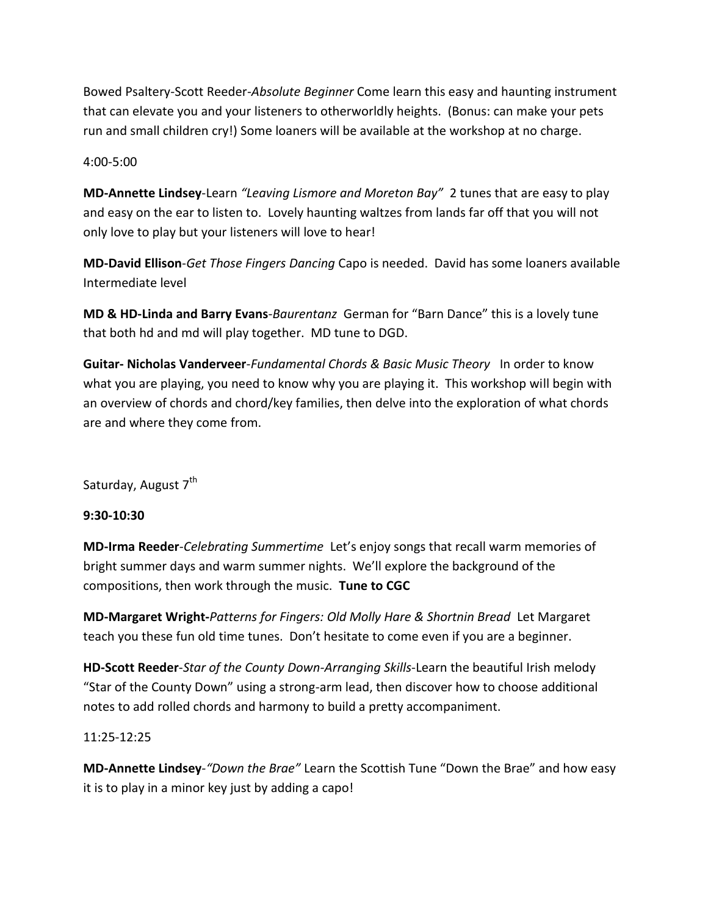Bowed Psaltery-Scott Reeder-*Absolute Beginner* Come learn this easy and haunting instrument that can elevate you and your listeners to otherworldly heights. (Bonus: can make your pets run and small children cry!) Some loaners will be available at the workshop at no charge.

## 4:00-5:00

**MD-Annette Lindsey**-Learn *"Leaving Lismore and Moreton Bay"* 2 tunes that are easy to play and easy on the ear to listen to. Lovely haunting waltzes from lands far off that you will not only love to play but your listeners will love to hear!

**MD-David Ellison**-*Get Those Fingers Dancing* Capo is needed. David has some loaners available Intermediate level

**MD & HD-Linda and Barry Evans**-*Baurentanz* German for "Barn Dance" this is a lovely tune that both hd and md will play together. MD tune to DGD.

**Guitar- Nicholas Vanderveer**-*Fundamental Chords & Basic Music Theory* In order to know what you are playing, you need to know why you are playing it. This workshop will begin with an overview of chords and chord/key families, then delve into the exploration of what chords are and where they come from.

Saturday, August 7<sup>th</sup>

### **9:30-10:30**

**MD-Irma Reeder**-*Celebrating Summertime* Let's enjoy songs that recall warm memories of bright summer days and warm summer nights. We'll explore the background of the compositions, then work through the music. **Tune to CGC**

**MD-Margaret Wright-***Patterns for Fingers: Old Molly Hare & Shortnin Bread* Let Margaret teach you these fun old time tunes. Don't hesitate to come even if you are a beginner.

**HD-Scott Reeder**-*Star of the County Down-Arranging Skills*-Learn the beautiful Irish melody "Star of the County Down" using a strong-arm lead, then discover how to choose additional notes to add rolled chords and harmony to build a pretty accompaniment.

### 11:25-12:25

**MD-Annette Lindsey***-"Down the Brae"* Learn the Scottish Tune "Down the Brae" and how easy it is to play in a minor key just by adding a capo!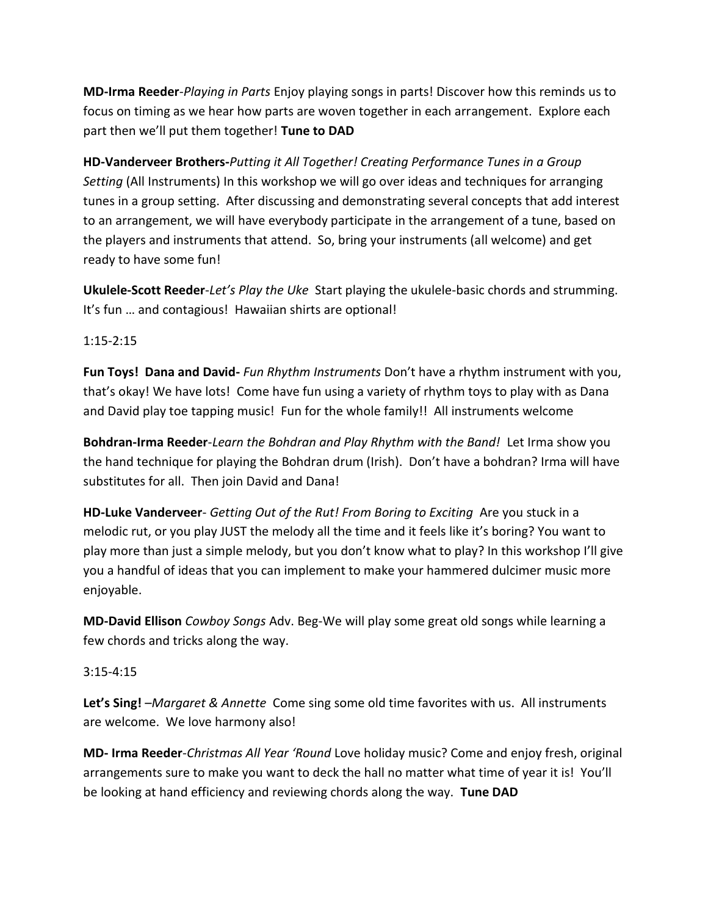**MD-Irma Reeder**-*Playing in Parts* Enjoy playing songs in parts! Discover how this reminds us to focus on timing as we hear how parts are woven together in each arrangement. Explore each part then we'll put them together! **Tune to DAD**

**HD-Vanderveer Brothers-***Putting it All Together! Creating Performance Tunes in a Group Setting* (All Instruments) In this workshop we will go over ideas and techniques for arranging tunes in a group setting. After discussing and demonstrating several concepts that add interest to an arrangement, we will have everybody participate in the arrangement of a tune, based on the players and instruments that attend. So, bring your instruments (all welcome) and get ready to have some fun!

**Ukulele-Scott Reeder**-*Let's Play the Uke* Start playing the ukulele-basic chords and strumming. It's fun … and contagious! Hawaiian shirts are optional!

1:15-2:15

**Fun Toys! Dana and David-** *Fun Rhythm Instruments* Don't have a rhythm instrument with you, that's okay! We have lots! Come have fun using a variety of rhythm toys to play with as Dana and David play toe tapping music! Fun for the whole family!! All instruments welcome

**Bohdran-Irma Reeder**-*Learn the Bohdran and Play Rhythm with the Band!* Let Irma show you the hand technique for playing the Bohdran drum (Irish). Don't have a bohdran? Irma will have substitutes for all. Then join David and Dana!

**HD-Luke Vanderveer**- *Getting Out of the Rut! From Boring to Exciting* Are you stuck in a melodic rut, or you play JUST the melody all the time and it feels like it's boring? You want to play more than just a simple melody, but you don't know what to play? In this workshop I'll give you a handful of ideas that you can implement to make your hammered dulcimer music more enjoyable.

**MD-David Ellison** *Cowboy Songs* Adv. Beg-We will play some great old songs while learning a few chords and tricks along the way.

3:15-4:15

**Let's Sing!** –*Margaret & Annette* Come sing some old time favorites with us. All instruments are welcome. We love harmony also!

**MD- Irma Reeder**-*Christmas All Year 'Round* Love holiday music? Come and enjoy fresh, original arrangements sure to make you want to deck the hall no matter what time of year it is! You'll be looking at hand efficiency and reviewing chords along the way. **Tune DAD**